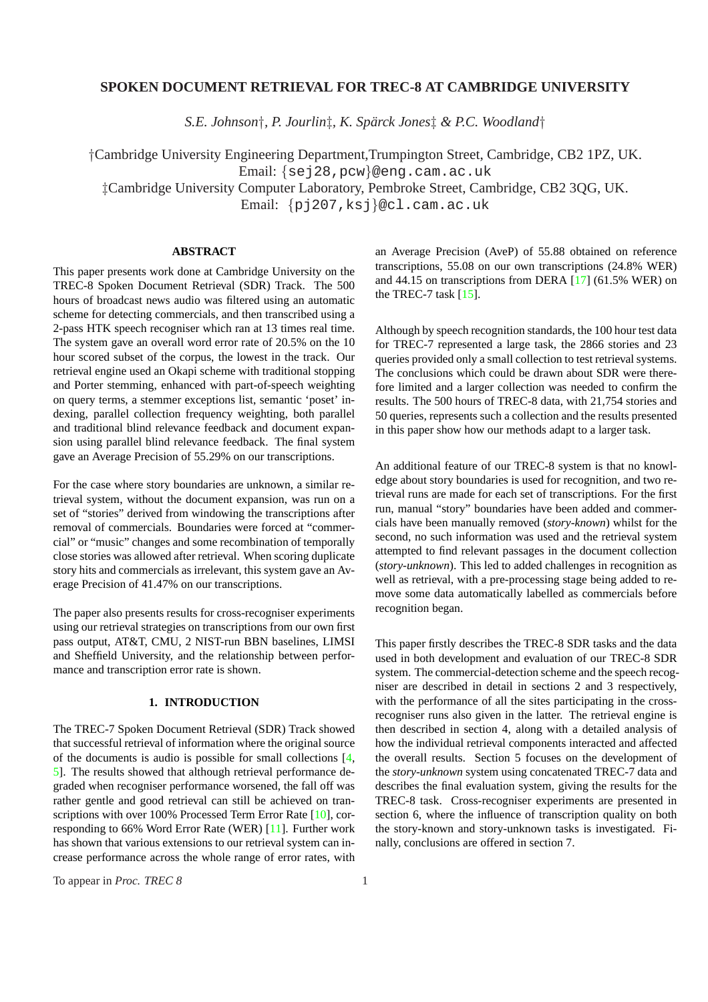## **SPOKEN DOCUMENT RETRIEVAL FOR TREC-8 AT CAMBRIDGE UNIVERSITY**

*S.E. Johnson*†*, P. Jourlin*‡*, K. Sparck Jones ¨* ‡ *& P.C. Woodland*†

†Cambridge University Engineering Department,Trumpington Street, Cambridge, CB2 1PZ, UK. Email: {sej28,pcw}@eng.cam.ac.uk ‡Cambridge University Computer Laboratory, Pembroke Street, Cambridge, CB2 3QG, UK. Email: {pj207,ksj}@cl.cam.ac.uk

## **ABSTRACT**

This paper presents work done at Cambridge University on the TREC-8 Spoken Document Retrieval (SDR) Track. The 500 hours of broadcast news audio was filtered using an automatic scheme for detecting commercials, and then transcribed using a 2-pass HTK speech recogniser which ran at 13 times real time. The system gave an overall word error rate of 20.5% on the 10 hour scored subset of the corpus, the lowest in the track. Our retrieval engine used an Okapi scheme with traditional stopping and Porter stemming, enhanced with part-of-speech weighting on query terms, a stemmer exceptions list, semantic 'poset' indexing, parallel collection frequency weighting, both parallel and traditional blind relevance feedback and document expansion using parallel blind relevance feedback. The final system gave an Average Precision of 55.29% on our transcriptions.

For the case where story boundaries are unknown, a similar retrieval system, without the document expansion, was run on a set of "stories" derived from windowing the transcriptions after removal of commercials. Boundaries were forced at "commercial" or "music" changes and some recombination of temporally close stories was allowed after retrieval. When scoring duplicate story hits and commercials as irrelevant, this system gave an Average Precision of 41.47% on our transcriptions.

The paper also presents results for cross-recogniser experiments using our retrieval strategies on transcriptions from our own first pass output, AT&T, CMU, 2 NIST-run BBN baselines, LIMSI and Sheffield University, and the relationship between performance and transcription error rate is shown.

### **1. INTRODUCTION**

The TREC-7 Spoken Document Retrieval (SDR) Track showed that successful retrieval of information where the original source of the documents is audio is possible for small collections [4, 5]. The results showed that although retrieval performance degraded when recogniser performance worsened, the fall off was rather gentle and good retrieval can still be achieved on transcriptions with over 100% Processed Term Error Rate [10], c[or](#page-9-0)[re](#page-9-0)sponding to 66% Word Error Rate (WER) [11]. Further work has shown that various extensions to our retrieval system can increase performance across the whole range of error rates, with

an Average Precision (AveP) of 55.88 obtained on reference transcriptions, 55.08 on our own transcriptions (24.8% WER) and 44.15 on transcriptions from DERA [17] (61.5% WER) on the TREC-7 task  $[15]$ .

Although by speech recognition standards, the 100 hour test data for TREC-7 represented a large task, th[e 28](#page-9-0)66 stories and 23 queries provided [only](#page-9-0) a small collection to test retrieval systems. The conclusions which could be drawn about SDR were therefore limited and a larger collection was needed to confirm the results. The 500 hours of TREC-8 data, with 21,754 stories and 50 queries, represents such a collection and the results presented in this paper show how our methods adapt to a larger task.

An additional feature of our TREC-8 system is that no knowledge about story boundaries is used for recognition, and two retrieval runs are made for each set of transcriptions. For the first run, manual "story" boundaries have been added and commercials have been manually removed (*story-known*) whilst for the second, no such information was used and the retrieval system attempted to find relevant passages in the document collection (*story-unknown*). This led to added challenges in recognition as well as retrieval, with a pre-processing stage being added to remove some data automatically labelled as commercials before recognition began.

This paper firstly describes the TREC-8 SDR tasks and the data used in both development and evaluation of our TREC-8 SDR system. The commercial-detection scheme and the speech recogniser are described in detail in sections 2 and 3 respectively, with the performance of all the sites participating in the crossrecogniser runs also given in the latter. The retrieval engine is then described in section 4, along with a detailed analysis of how the individual retrieval components interacted and affected the overall results. Section 5 focuses on the development of the *story-unknown* system using concatenated TREC-7 data and describes the final evaluation system, giving the results for the TREC-8 task. Cross-recogniser experiments are presented in section 6, where the influence of transcription quality on both the story-known and story-unknown tasks is investigated. Finally, conclusions are offered in section 7.

To appear in *Proc. TREC 8* 1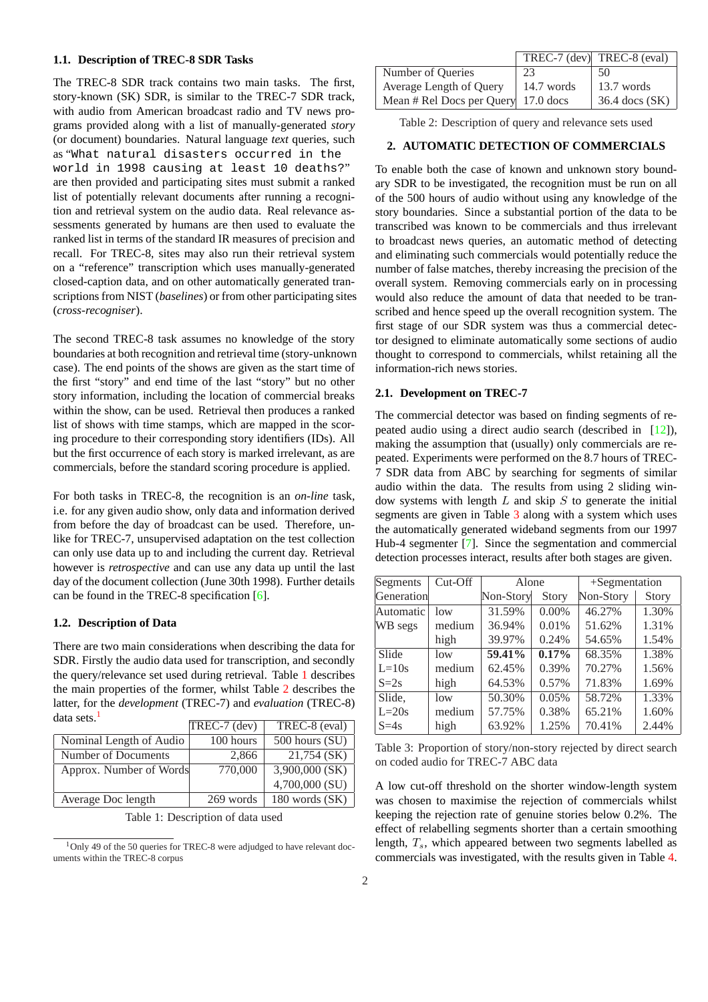#### **1.1. Description of TREC-8 SDR Tasks**

The TREC-8 SDR track contains two main tasks. The first, story-known (SK) SDR, is similar to the TREC-7 SDR track, with audio from American broadcast radio and TV news programs provided along with a list of manually-generated *story* (or document) boundaries. Natural language *text* queries, such as "What natural disasters occurred in the world in 1998 causing at least 10 deaths?" are then provided and participating sites must submit a ranked list of potentially relevant documents after running a recognition and retrieval system on the audio data. Real relevance assessments generated by humans are then used to evaluate the ranked list in terms of the standard IR measures of precision and recall. For TREC-8, sites may also run their retrieval system on a "reference" transcription which uses manually-generated closed-caption data, and on other automatically generated transcriptions from NIST (*baselines*) or from other participating sites (*cross-recogniser*).

The second TREC-8 task assumes no knowledge of the story boundaries at both recognition and retrieval time (story-unknown case). The end points of the shows are given as the start time of the first "story" and end time of the last "story" but no other story information, including the location of commercial breaks within the show, can be used. Retrieval then produces a ranked list of shows with time stamps, which are mapped in the scoring procedure to their corresponding story identifiers (IDs). All but the first occurrence of each story is marked irrelevant, as are commercials, before the standard scoring procedure is applied.

For both tasks in TREC-8, the recognition is an *on-line* task, i.e. for any given audio show, only data and information derived from before the day of broadcast can be used. Therefore, unlike for TREC-7, unsupervised adaptation on the test collection can only use data up to and including the current day. Retrieval however is *retrospective* and can use any data up until the last day of the document collection (June 30th 1998). Further details can be found in the TREC-8 specification [6].

## **1.2. Description of Data**

There are two main considerations when describing the data for SDR. Firstly the audio data used for transc[rip](#page-9-0)tion, and secondly the query/relevance set used during retrieval. Table 1 describes the main properties of the former, whilst Table 2 describes the latter, for the *development* (TREC-7) and *evaluation* (TREC-8) data sets.<sup>1</sup>

|                         | TREC-7 (dev) | TREC-8 (eval)      |
|-------------------------|--------------|--------------------|
| Nominal Length of Audio | 100 hours    | $500$ hours $(SU)$ |
| Number of Documents     | 2,866        | 21,754 (SK)        |
| Approx. Number of Words | 770,000      | 3,900,000 (SK)     |
|                         |              | 4,700,000 (SU)     |
| Average Doc length      | 269 words    | $180$ words $(SK)$ |

Table 1: Description of data used

| Number of Queries                   | 23         | 50                 |
|-------------------------------------|------------|--------------------|
| Average Length of Query             | 14.7 words | 13.7 words         |
| Mean # Rel Docs per Query 17.0 docs |            | $36.4$ docs $(SK)$ |

Table 2: Description of query and relevance sets used

## **2. AUTOMATIC DETECTION OF COMMERCIALS**

To enable both the case of known and unknown story boundary SDR to be investigated, the recognition must be run on all of the 500 hours of audio without using any knowledge of the story boundaries. Since a substantial portion of the data to be transcribed was known to be commercials and thus irrelevant to broadcast news queries, an automatic method of detecting and eliminating such commercials would potentially reduce the number of false matches, thereby increasing the precision of the overall system. Removing commercials early on in processing would also reduce the amount of data that needed to be transcribed and hence speed up the overall recognition system. The first stage of our SDR system was thus a commercial detector designed to eliminate automatically some sections of audio thought to correspond to commercials, whilst retaining all the information-rich news stories.

#### **2.1. Development on TREC-7**

The commercial detector was based on finding segments of repeated audio using a direct audio search (described in [12]), making the assumption that (usually) only commercials are repeated. Experiments were performed on the 8.7 hours of TREC-7 SDR data from ABC by searching for segments of similar audio within the data. The results from using 2 sliding [win](#page-9-0)dow systems with length  $L$  and skip  $S$  to generate the initial segments are given in Table 3 along with a system which uses the automatically generated wideband segments from our 1997 Hub-4 segmenter [7]. Since the segmentation and commercial detection processes interact, results after both stages are given.

| Segments   | Cut-Off |                      | Alone        |           | $+Segmentation$     |
|------------|---------|----------------------|--------------|-----------|---------------------|
| Generation |         | Non-Story            | <b>Story</b> | Non-Story | Story               |
| Automatic  | low     | 31.59%               | $0.00\%$     | 46.27%    | $\overline{1.30\%}$ |
| WB segs    | medium  | 36.94%               | 0.01%        | 51.62%    | 1.31%               |
|            | high    | 39.97%               | 0.24%        | 54.65%    | 1.54%               |
| Slide      | low     | $\overline{59.41\%}$ | $0.17\%$     | 68.35%    | 1.38%               |
| $L=10s$    | medium  | 62.45%               | 0.39%        | 70.27%    | 1.56%               |
| $S=2s$     | high    | 64.53%               | 0.57%        | 71.83%    | 1.69%               |
| Slide.     | low     | 50.30%               | 0.05%        | 58.72%    | 1.33%               |
| $L=20s$    | medium  | 57.75%               | 0.38%        | 65.21%    | 1.60%               |
| $S=4s$     | high    | 63.92%               | 1.25%        | 70.41%    | 2.44%               |

Table 3: Proportion of story/non-story rejected by direct search on coded audio for TREC-7 ABC data

A low cut-off threshold on the shorter window-length system was chosen to maximise the rejection of commercials whilst keeping the rejection rate of genuine stories below 0.2%. The effect of relabelling segments shorter than a certain smoothing length,  $T_s$ , which appeared between two segments labelled as commercials was investigated, with the results given in Table 4.

<sup>&</sup>lt;sup>1</sup>Only 49 of the 50 queries for TREC-8 were adjudged to have relevant documents within the TREC-8 corpus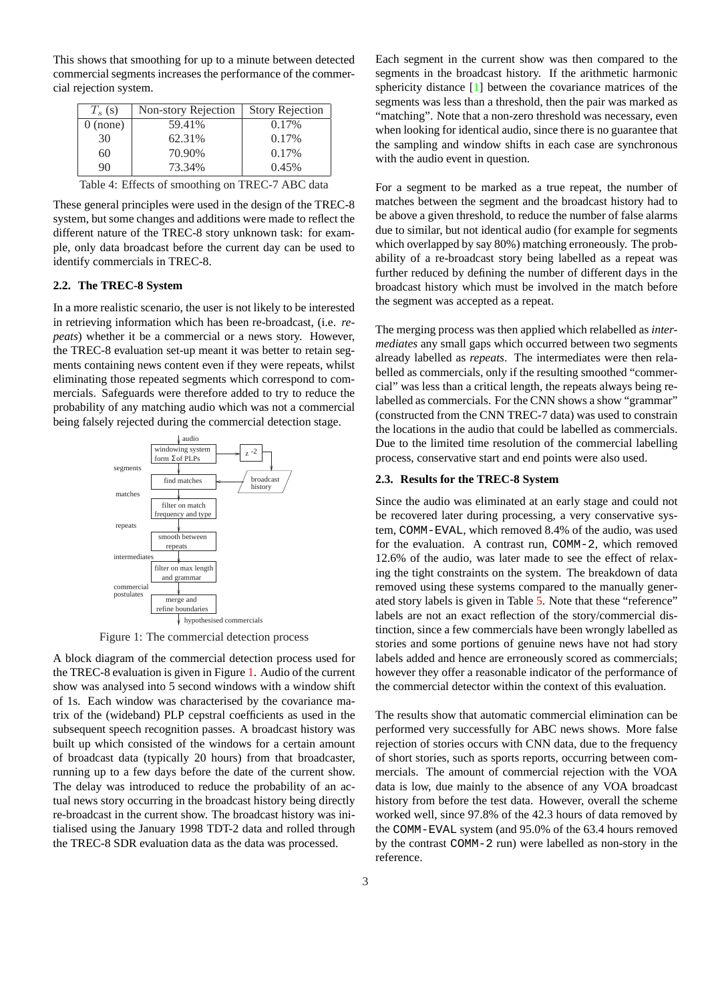This shows that smoothing for up to a minute between detected commercial segments increases the performance of the commercial rejection system.

| $T_s$ (s)  | Non-story Rejection | <b>Story Rejection</b> |
|------------|---------------------|------------------------|
| $0$ (none) | 59.41%              | $0.17\%$               |
| 30         | 62.31%              | 0.17%                  |
| 60         | 70.90%              | 0.17%                  |
| 90         | 73.34%              | 0.45%                  |

Table 4: Effects of smoothing on TREC-7 ABC data

These general principles were used in the design of the TREC-8 system, but some changes and additions were made to reflect the different nature of the TREC-8 story unknown task: for example, only data broadcast before the current day can be used to identify commercials in TREC-8.

### **2.2. The TREC-8 System**

In a more realistic scenario, the user is not likely to be interested in retrieving information which has been re-broadcast, (i.e. *repeats*) whether it be a commercial or a news story. However, the TREC-8 evaluation set-up meant it was better to retain segments containing news content even if they were repeats, whilst eliminating those repeated segments which correspond to commercials. Safeguards were therefore added to try to reduce the probability of any matching audio which was not a commercial being falsely rejected during the commercial detection stage.



Figure 1: The commercial detection process

A block diagram of the commercial detection process used for the TREC-8 evaluation is given in Figure 1. Audio of the current show was analysed into 5 second windows with a window shift of 1s. Each window was characterised by the covariance matrix of the (wideband) PLP cepstral coefficients as used in the subsequent speech recognition passes. A broadcast history was built up which consisted of the windows for a certain amount of broadcast data (typically 20 hours) from that broadcaster, running up to a few days before the date of the current show. The delay was introduced to reduce the probability of an actual news story occurring in the broadcast history being directly re-broadcast in the current show. The broadcast history was initialised using the January 1998 TDT-2 data and rolled through the TREC-8 SDR evaluation data as the data was processed.

Each segment in the current show was then compared to the segments in the broadcast history. If the arithmetic harmonic sphericity distance [1] between the covariance matrices of the segments was less than a threshold, then the pair was marked as "matching". Note that a non-zero threshold was necessary, even when looking for identical audio, since there is no guarantee that the sampling and w[in](#page-9-0)dow shifts in each case are synchronous with the audio event in question.

For a segment to be marked as a true repeat, the number of matches between the segment and the broadcast history had to be above a given threshold, to reduce the number of false alarms due to similar, but not identical audio (for example for segments which overlapped by say 80%) matching erroneously. The probability of a re-broadcast story being labelled as a repeat was further reduced by defining the number of different days in the broadcast history which must be involved in the match before the segment was accepted as a repeat.

The merging process was then applied which relabelled as *intermediates* any small gaps which occurred between two segments already labelled as *repeats*. The intermediates were then relabelled as commercials, only if the resulting smoothed "commercial" was less than a critical length, the repeats always being relabelled as commercials. For the CNN shows a show "grammar" (constructed from the CNN TREC-7 data) was used to constrain the locations in the audio that could be labelled as commercials. Due to the limited time resolution of the commercial labelling process, conservative start and end points were also used.

### **2.3. Results for the TREC-8 System**

Since the audio was eliminated at an early stage and could not be recovered later during processing, a very conservative system, COMM-EVAL, which removed 8.4% of the audio, was used for the evaluation. A contrast run, COMM-2, which removed 12.6% of the audio, was later made to see the effect of relaxing the tight constraints on the system. The breakdown of data removed using these systems compared to the manually generated story labels is given in Table 5. Note that these "reference" labels are not an exact reflection of the story/commercial distinction, since a few commercials have been wrongly labelled as stories and some portions of genuine news have not had story labels added and hence are erron[eo](#page-3-0)usly scored as commercials; however they offer a reasonable indicator of the performance of the commercial detector within the context of this evaluation.

The results show that automatic commercial elimination can be performed very successfully for ABC news shows. More false rejection of stories occurs with CNN data, due to the frequency of short stories, such as sports reports, occurring between commercials. The amount of commercial rejection with the VOA data is low, due mainly to the absence of any VOA broadcast history from before the test data. However, overall the scheme worked well, since 97.8% of the 42.3 hours of data removed by the COMM-EVAL system (and 95.0% of the 63.4 hours removed by the contrast COMM-2 run) were labelled as non-story in the reference.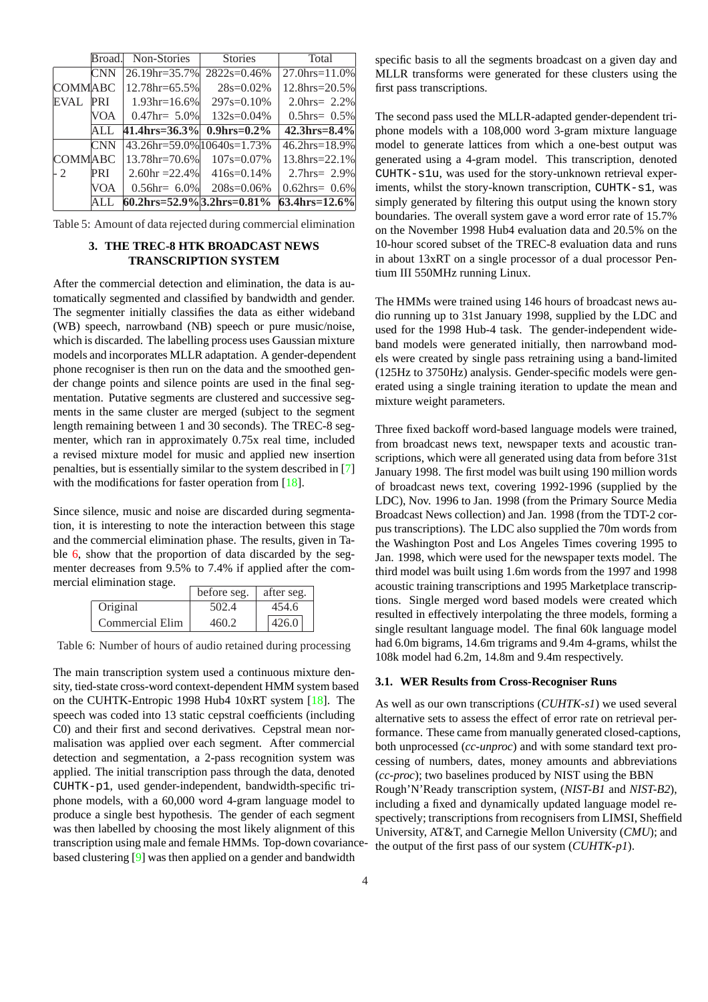<span id="page-3-0"></span>

|                |            | <b>NULL-DIUTIUS</b>                     | ownes              | тош                        |
|----------------|------------|-----------------------------------------|--------------------|----------------------------|
|                | <b>CNN</b> | 26.19hr=35.7%                           | $2822s=0.46%$      | $27.0$ hrs= $11.0\%$       |
| <b>COMMABC</b> |            | 12.78hr=65.5%                           | $28s = 0.02\%$     | $12.8$ hrs= $20.5\%$       |
| <b>EVAL</b>    | <b>PRI</b> | $1.93hr=16.6%$                          | $297s = 0.10\%$    | 2.0hrs= $2.2\%$            |
|                | <b>VOA</b> | $0.47$ hr= 5.0%                         | $132s = 0.04\%$    | $0.5$ hrs= $0.5%$          |
|                | ALL        | $41.4$ hrs= $36.3\%$                    | $0.9$ hrs= $0.2\%$ | $42.3$ hrs= $8.4\%$        |
|                | <b>CNN</b> | $43.26$ hr=59.0% $10640$ s=1.73%        |                    | $46.2 \text{hrs} = 18.9\%$ |
| <b>COMMABC</b> |            | 13.78hr=70.6%                           | $107s = 0.07\%$    | 13.8hrs=22.1%              |
| $-2$           | PRI        | $2.60hr = 22.4%$                        | $416s = 0.14\%$    | 2.7 $hrs = 2.9%$           |
|                | <b>VOA</b> | $0.56$ hr= 6.0%                         | $208s = 0.06\%$    | $0.62$ hrs= $0.6\%$        |
|                |            | $60.2 \text{hrs} = 52.9\%$ 3.2hrs=0.81% |                    | $63.4$ hrs= $12.6\%$       |

Table 5: Amount of data rejected during commercial elimination

## **3. THE TREC-8 HTK BROADCAST NEWS TRANSCRIPTION SYSTEM**

After the commercial detection and elimination, the data is automatically segmented and classified by bandwidth and gender. The segmenter initially classifies the data as either wideband (WB) speech, narrowband (NB) speech or pure music/noise, which is discarded. The labelling process uses Gaussian mixture models and incorporates MLLR adaptation. A gender-dependent phone recogniser is then run on the data and the smoothed gender change points and silence points are used in the final segmentation. Putative segments are clustered and successive segments in the same cluster are merged (subject to the segment length remaining between 1 and 30 seconds). The TREC-8 segmenter, which ran in approximately 0.75x real time, included a revised mixture model for music and applied new insertion penalties, but is essentially similar to the system described in [7] with the modifications for faster operation from [18].

Since silence, music and noise are discarded during segmentation, it is interesting to note the interaction between this sta[ge](#page-9-0) and the commercial elimination phase. The resu[lts, g](#page-9-0)iven in Table 6, show that the proportion of data discarded by the segmenter decreases from 9.5% to 7.4% if applied after the commercial elimination stage.

|                 | before seg. | after seg. |
|-----------------|-------------|------------|
| Original        | 502.4       | 454.6      |
| Commercial Elim | 460.2       | 426.0      |

Table 6: Number of hours of audio retained during processing

The main transcription system used a continuous mixture density, tied-state cross-word context-dependent HMM system based on the CUHTK-Entropic 1998 Hub4 10xRT system [18]. The speech was coded into 13 static cepstral coefficients (including C0) and their first and second derivatives. Cepstral mean normalisation was applied over each segment. After commercial detection and segmentation, a 2-pass recognition sy[stem](#page-9-0) was applied. The initial transcription pass through the data, denoted CUHTK-p1, used gender-independent, bandwidth-specific triphone models, with a 60,000 word 4-gram language model to produce a single best hypothesis. The gender of each segment was then labelled by choosing the most likely alignment of this transcription using male and female HMMs. Top-down covariancebased clustering [9] was then applied on a gender and bandwidth

specific basis to all the segments broadcast on a given day and MLLR transforms were generated for these clusters using the first pass transcriptions.

The second pass used the MLLR-adapted gender-dependent triphone models with a 108,000 word 3-gram mixture language model to generate lattices from which a one-best output was generated using a 4-gram model. This transcription, denoted CUHTK-s1u, was used for the story-unknown retrieval experiments, whilst the story-known transcription, CUHTK-s1, was simply generated by filtering this output using the known story boundaries. The overall system gave a word error rate of 15.7% on the November 1998 Hub4 evaluation data and 20.5% on the 10-hour scored subset of the TREC-8 evaluation data and runs in about 13xRT on a single processor of a dual processor Pentium III 550MHz running Linux.

The HMMs were trained using 146 hours of broadcast news audio running up to 31st January 1998, supplied by the LDC and used for the 1998 Hub-4 task. The gender-independent wideband models were generated initially, then narrowband models were created by single pass retraining using a band-limited (125Hz to 3750Hz) analysis. Gender-specific models were generated using a single training iteration to update the mean and mixture weight parameters.

Three fixed backoff word-based language models were trained, from broadcast news text, newspaper texts and acoustic transcriptions, which were all generated using data from before 31st January 1998. The first model was built using 190 million words of broadcast news text, covering 1992-1996 (supplied by the LDC), Nov. 1996 to Jan. 1998 (from the Primary Source Media Broadcast News collection) and Jan. 1998 (from the TDT-2 corpus transcriptions). The LDC also supplied the 70m words from the Washington Post and Los Angeles Times covering 1995 to Jan. 1998, which were used for the newspaper texts model. The third model was built using 1.6m words from the 1997 and 1998 acoustic training transcriptions and 1995 Marketplace transcriptions. Single merged word based models were created which resulted in effectively interpolating the three models, forming a single resultant language model. The final 60k language model had 6.0m bigrams, 14.6m trigrams and 9.4m 4-grams, whilst the 108k model had 6.2m, 14.8m and 9.4m respectively.

#### **3.1. WER Results from Cross-Recogniser Runs**

As well as our own transcriptions (*CUHTK-s1*) we used several alternative sets to assess the effect of error rate on retrieval performance. These came from manually generated closed-captions, both unprocessed (*cc-unproc*) and with some standard text processing of numbers, dates, money amounts and abbreviations (*cc-proc*); two baselines produced by NIST using the BBN Rough'N'Ready transcription system, (*NIST-B1* and *NIST-B2*), including a fixed and dynamically updated language model respectively; transcriptions from recognisers from LIMSI, Sheffield University, AT&T, and Carnegie Mellon University (*CMU*); and the output of the first pass of our system (*CUHTK-p1*).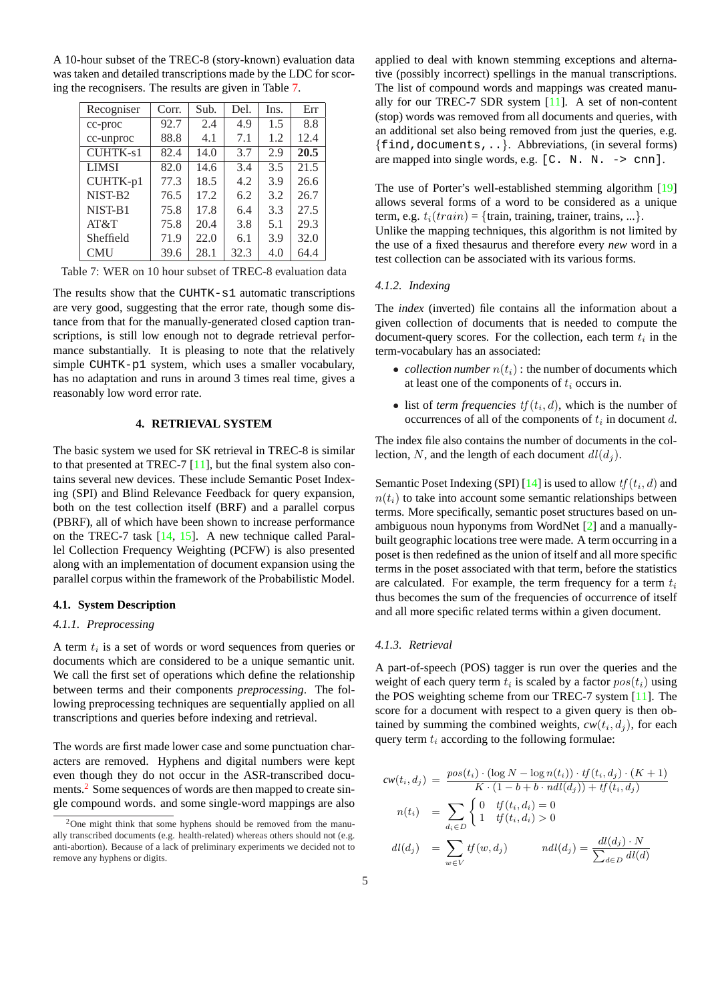<span id="page-4-0"></span>A 10-hour subset of the TREC-8 (story-known) evaluation data was taken and detailed transcriptions made by the LDC for scoring the recognisers. The results are given in Table 7.

| Recogniser          | Corr. | Sub. | Del. | Ins. | Err  |
|---------------------|-------|------|------|------|------|
| cc-proc             | 92.7  | 2.4  | 4.9  | 1.5  | 8.8  |
| cc-unproc           | 88.8  | 4.1  | 7.1  | 1.2  | 12.4 |
| <b>CUHTK-s1</b>     | 82.4  | 14.0 | 3.7  | 2.9  | 20.5 |
| <b>LIMSI</b>        | 82.0  | 14.6 | 3.4  | 3.5  | 21.5 |
| CUHTK-p1            | 77.3  | 18.5 | 4.2  | 3.9  | 26.6 |
| NIST-B <sub>2</sub> | 76.5  | 17.2 | 6.2  | 3.2  | 26.7 |
| NIST-B1             | 75.8  | 17.8 | 6.4  | 3.3  | 27.5 |
| AT&T                | 75.8  | 20.4 | 3.8  | 5.1  | 29.3 |
| Sheffield           | 71.9  | 22.0 | 6.1  | 3.9  | 32.0 |
| <b>CMU</b>          | 39.6  | 28.1 | 32.3 | 4.0  | 64.4 |

Table 7: WER on 10 hour subset of TREC-8 evaluation data

The results show that the CUHTK-s1 automatic transcriptions are very good, suggesting that the error rate, though some distance from that for the manually-generated closed caption transcriptions, is still low enough not to degrade retrieval performance substantially. It is pleasing to note that the relatively simple CUHTK-p1 system, which uses a smaller vocabulary, has no adaptation and runs in around 3 times real time, gives a reasonably low word error rate.

#### **4. RETRIEVAL SYSTEM**

The basic system we used for SK retrieval in TREC-8 is similar to that presented at TREC-7  $[11]$ , but the final system also contains several new devices. These include Semantic Poset Indexing (SPI) and Blind Relevance Feedback for query expansion, both on the test collection itself (BRF) and a parallel corpus (PBRF), all of which have be[en s](#page-9-0)hown to increase performance on the TREC-7 task [14, 15]. A new technique called Parallel Collection Frequency Weighting (PCFW) is also presented along with an implementation of document expansion using the parallel corpus within the framework of the Probabilistic Model.

#### **4.1. System Descrip[tion](#page-9-0)**

#### *4.1.1. Preprocessing*

A term  $t_i$  is a set of words or word sequences from queries or documents which are considered to be a unique semantic unit. We call the first set of operations which define the relationship between terms and their components *preprocessing*. The following preprocessing techniques are sequentially applied on all transcriptions and queries before indexing and retrieval.

The words are first made lower case and some punctuation characters are removed. Hyphens and digital numbers were kept even though they do not occur in the ASR-transcribed documents.<sup>2</sup> Some sequences of words are then mapped to create single compound words. and some single-word mappings are also

applied to deal with known stemming exceptions and alternative (possibly incorrect) spellings in the manual transcriptions. The list of compound words and mappings was created manually for our TREC-7 SDR system  $[11]$ . A set of non-content (stop) words was removed from all documents and queries, with an additional set also being removed from just the queries, e.g. {find,documents,..}. Abbreviations, (in several forms) are mapped into single words, e.g.  $[C. N. N. \rightarrow \text{cm}].$  $[C. N. N. \rightarrow \text{cm}].$ 

The use of Porter's well-established stemming algorithm [19] allows several forms of a word to be considered as a unique term, e.g.  $t_i(train) = \{train, training, trainer, trains, ...\}.$ Unlike the mapping techniques, this algorithm is not limited by

the use of a fixed thesaurus and therefore every *new* word [in a](#page-9-0) test collection can be associated with its various forms.

#### *4.1.2. Indexing*

The *index* (inverted) file contains all the information about a given collection of documents that is needed to compute the document-query scores. For the collection, each term  $t_i$  in the term-vocabulary has an associated:

- *collection number*  $n(t_i)$ : the number of documents which at least one of the components of  $t_i$  occurs in.
- list of *term frequencies*  $tf(t_i, d)$ , which is the number of occurrences of all of the components of  $t_i$  in document d.

The index file also contains the number of documents in the collection, N, and the length of each document  $dl(d_i)$ .

Semantic Poset Indexing (SPI) [14] is used to allow  $tf(t_i, d)$  and  $n(t<sub>i</sub>)$  to take into account some semantic relationships between terms. More specifically, semantic poset structures based on unambiguous noun hyponyms from WordNet [2] and a manuallybuilt geographic locations tree [were](#page-9-0) made. A term occurring in a poset is then redefined as the union of itself and all more specific terms in the poset associated with that term, before the statistics are calculated. For example, the term freq[ue](#page-9-0)ncy for a term  $t_i$ thus becomes the sum of the frequencies of occurrence of itself and all more specific related terms within a given document.

#### *4.1.3. Retrieval*

A part-of-speech (POS) tagger is run over the queries and the weight of each query term  $t_i$  is scaled by a factor  $pos(t_i)$  using the POS weighting scheme from our TREC-7 system [11]. The score for a document with respect to a given query is then obtained by summing the combined weights,  $cw(t_i, d_j)$ , for each query term  $t_i$  according to the following formulae:

$$
cw(t_i, d_j) = \frac{pos(t_i) \cdot (\log N - \log n(t_i)) \cdot tf(t_i, d_j) \cdot (K+1))}{K \cdot (1 - b + b \cdot ndl(d_j)) + tf(t_i, d_j)}
$$

$$
n(t_i) = \sum_{d_i \in D} \begin{cases} 0 & \text{if } (t_i, d_i) = 0\\ 1 & \text{if } (t_i, d_i) > 0 \end{cases}
$$

$$
dl(d_j) = \sum_{d_i \in D} tf(w, d_j) \qquad ndl(d_j) = \frac{dl(d_j) \cdot N}{N!}
$$

$$
dl(d_j) = \sum_{w \in V} tf(w, d_j) \qquad \qquad null(d_j) = \frac{at(a_j) \cdot N}{\sum_{d \in D} dl(d)}
$$

<sup>&</sup>lt;sup>2</sup>One might think that some hyphens should be removed from the manually transcribed documents (e.g. health-related) whereas others should not (e.g. anti-abortion). Because of a lack of preliminary experiments we decided not to remove any hyphens or digits.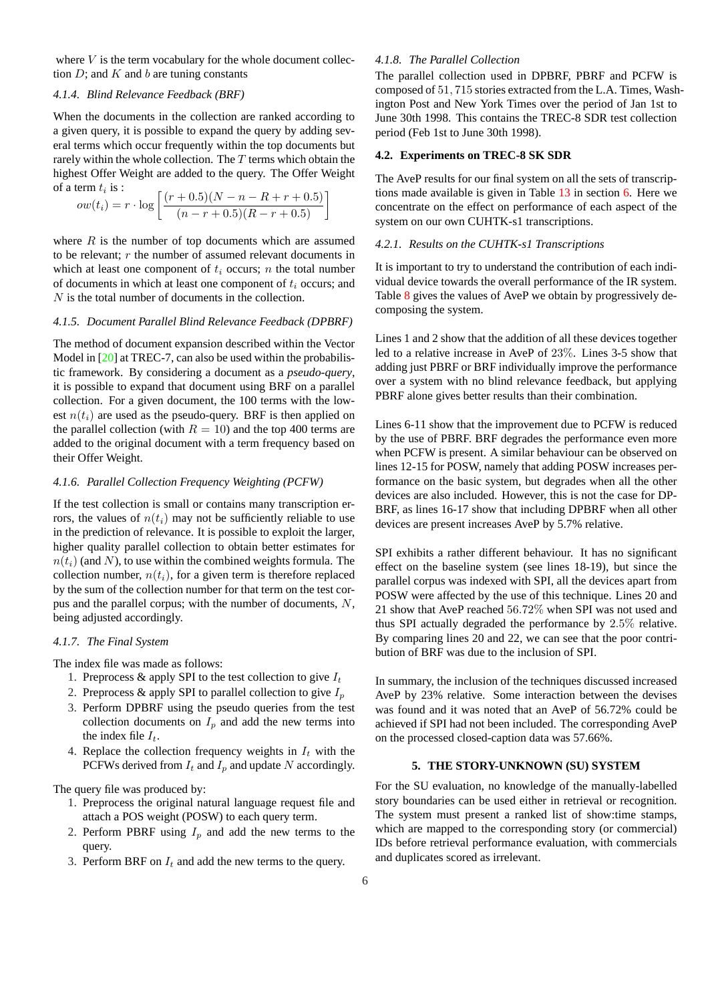where  $V$  is the term vocabulary for the whole document collection  $D$ ; and  $K$  and  $b$  are tuning constants

#### *4.1.4. Blind Relevance Feedback (BRF)*

When the documents in the collection are ranked according to a given query, it is possible to expand the query by adding several terms which occur frequently within the top documents but rarely within the whole collection. The  $T$  terms which obtain the highest Offer Weight are added to the query. The Offer Weight of a term  $t_i$  is :

$$
ow(t_i) = r \cdot \log \left[ \frac{(r+0.5)(N-n-R+r+0.5)}{(n-r+0.5)(R-r+0.5)} \right]
$$

where  $R$  is the number of top documents which are assumed to be relevant;  $r$  the number of assumed relevant documents in which at least one component of  $t_i$  occurs; n the total number of documents in which at least one component of  $t_i$  occurs; and N is the total number of documents in the collection.

#### *4.1.5. Document Parallel Blind Relevance Feedback (DPBRF)*

The method of document expansion described within the Vector Model in [20] at TREC-7, can also be used within the probabilistic framework. By considering a document as a *pseudo-query*, it is possible to expand that document using BRF on a parallel collection. For a given document, the 100 terms with the lowest  $n(t_i)$  [are](#page-9-0) used as the pseudo-query. BRF is then applied on the parallel collection (with  $R = 10$ ) and the top 400 terms are added to the original document with a term frequency based on their Offer Weight.

### *4.1.6. Parallel Collection Frequency Weighting (PCFW)*

If the test collection is small or contains many transcription errors, the values of  $n(t_i)$  may not be sufficiently reliable to use in the prediction of relevance. It is possible to exploit the larger, higher quality parallel collection to obtain better estimates for  $n(t_i)$  (and N), to use within the combined weights formula. The collection number,  $n(t_i)$ , for a given term is therefore replaced by the sum of the collection number for that term on the test corpus and the parallel corpus; with the number of documents,  $N$ , being adjusted accordingly.

#### *4.1.7. The Final System*

The index file was made as follows:

- 1. Preprocess & apply SPI to the test collection to give  $I_t$
- 2. Preprocess & apply SPI to parallel collection to give  $I_p$
- 3. Perform DPBRF using the pseudo queries from the test collection documents on  $I_p$  and add the new terms into the index file  $I_t$ .
- 4. Replace the collection frequency weights in  $I_t$  with the PCFWs derived from  $I_t$  and  $I_p$  and update N accordingly.

The query file was produced by:

- 1. Preprocess the original natural language request file and attach a POS weight (POSW) to each query term.
- 2. Perform PBRF using  $I_p$  and add the new terms to the query.
- 3. Perform BRF on  $I_t$  and add the new terms to the query.

#### *4.1.8. The Parallel Collection*

The parallel collection used in DPBRF, PBRF and PCFW is composed of 51, 715 stories extracted from the L.A. Times, Washington Post and New York Times over the period of Jan 1st to June 30th 1998. This contains the TREC-8 SDR test collection period (Feb 1st to June 30th 1998).

## **4.2. Experiments on TREC-8 SK SDR**

The AveP results for our final system on all the sets of transcriptions made available is given in Table  $13$  in section 6. Here we concentrate on the effect on performance of each aspect of the system on our own CUHTK-s1 transcriptions.

## *4.2.1. Results on the CUHTK-s1 Tra[nscr](#page-7-0)iptions*

It is important to try to understand the contribution of each individual device towards the overall performance of the IR system. Table 8 gives the values of AveP we obtain by progressively decomposing the system.

Lines 1 and 2 show that the addition of all these devices together led to [a](#page-6-0) relative increase in AveP of 23%. Lines 3-5 show that adding just PBRF or BRF individually improve the performance over a system with no blind relevance feedback, but applying PBRF alone gives better results than their combination.

Lines 6-11 show that the improvement due to PCFW is reduced by the use of PBRF. BRF degrades the performance even more when PCFW is present. A similar behaviour can be observed on lines 12-15 for POSW, namely that adding POSW increases performance on the basic system, but degrades when all the other devices are also included. However, this is not the case for DP-BRF, as lines 16-17 show that including DPBRF when all other devices are present increases AveP by 5.7% relative.

SPI exhibits a rather different behaviour. It has no significant effect on the baseline system (see lines 18-19), but since the parallel corpus was indexed with SPI, all the devices apart from POSW were affected by the use of this technique. Lines 20 and 21 show that AveP reached 56.72% when SPI was not used and thus SPI actually degraded the performance by 2.5% relative. By comparing lines 20 and 22, we can see that the poor contribution of BRF was due to the inclusion of SPI.

In summary, the inclusion of the techniques discussed increased AveP by 23% relative. Some interaction between the devises was found and it was noted that an AveP of 56.72% could be achieved if SPI had not been included. The corresponding AveP on the processed closed-caption data was 57.66%.

## **5. THE STORY-UNKNOWN (SU) SYSTEM**

For the SU evaluation, no knowledge of the manually-labelled story boundaries can be used either in retrieval or recognition. The system must present a ranked list of show:time stamps, which are mapped to the corresponding story (or commercial) IDs before retrieval performance evaluation, with commercials and duplicates scored as irrelevant.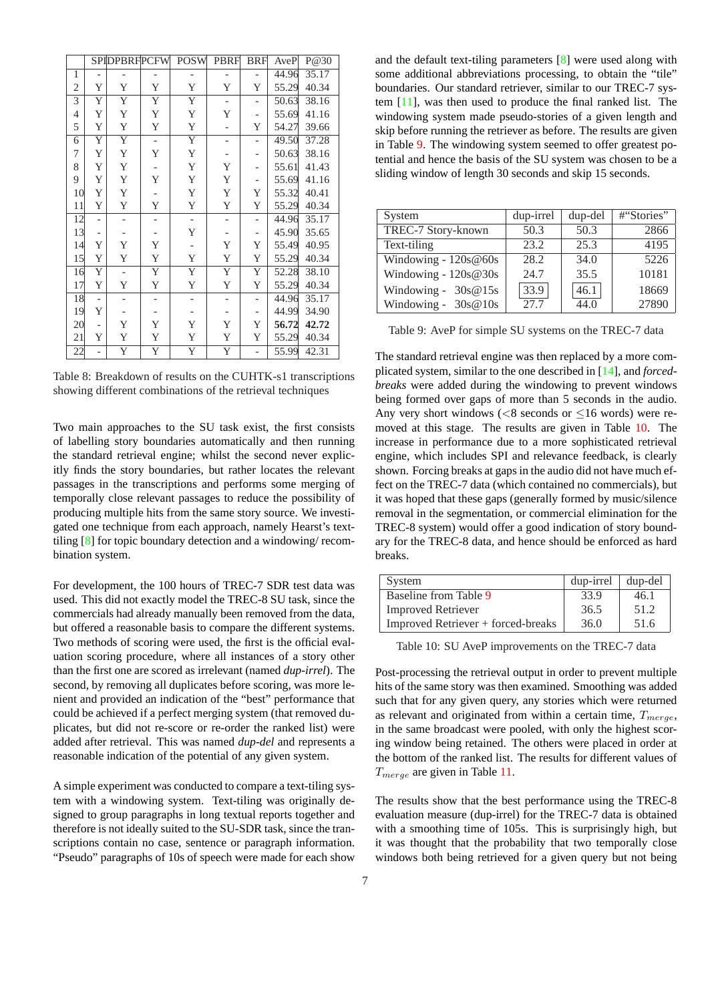<span id="page-6-0"></span>

|                |                          | <b>SPIDPBRFPCFWI</b>     |                          | PUS W                        | PBKF                     | RKL                      | Aver  | P@30  |
|----------------|--------------------------|--------------------------|--------------------------|------------------------------|--------------------------|--------------------------|-------|-------|
| 1              | $\overline{\phantom{0}}$ |                          |                          |                              | -                        |                          | 44.96 | 35.17 |
| $\mathfrak{2}$ | Y                        | Y                        | Y                        | Y                            | Y                        | Y                        | 55.29 | 40.34 |
| $\overline{3}$ | Y                        | $\overline{\mathrm{Y}}$  | Y                        | Y                            | $\overline{\phantom{a}}$ | -                        | 50.63 | 38.16 |
| $\overline{4}$ | Y                        | Y                        | Y                        | Y                            | Y                        | -                        | 55.69 | 41.16 |
| 5              | Y                        | Y                        | Y                        | Y                            |                          | Y                        | 54.27 | 39.66 |
| 6              | Y                        | $\overline{Y}$           | $\overline{\phantom{a}}$ | Y                            | $\overline{\phantom{0}}$ | -                        | 49.50 | 37.28 |
| 7              | Y                        | Y                        | Y                        | Y                            | -                        | -                        | 50.63 | 38.16 |
| 8              | Y                        | Y                        |                          | Y                            | Y                        | -                        | 55.61 | 41.43 |
| 9              | Y                        | Y                        | Y                        | Y                            | Y                        |                          | 55.69 | 41.16 |
| 10             | Y                        | Y                        | -                        | Y                            | Y                        | Y                        | 55.32 | 40.41 |
| 11             | Y                        | Y                        | Y                        | Y                            | Y                        | Y                        | 55.29 | 40.34 |
| 12             |                          |                          | -                        | $\qquad \qquad \blacksquare$ |                          | -                        | 44.96 | 35.17 |
| 13             |                          |                          |                          | Y                            |                          | -                        | 45.90 | 35.65 |
| 14             | Y                        | Y                        | Y                        |                              | Y                        | Y                        | 55.49 | 40.95 |
| 15             | Y                        | Y                        | Y                        | Y                            | Y                        | Y                        | 55.29 | 40.34 |
| 16             | Y                        |                          | Y                        | Y                            | Y                        | Y                        | 52.28 | 38.10 |
| 17             | Y                        | Y                        | Y                        | Y                            | Y                        | Y                        | 55.29 | 40.34 |
| 18             | $\overline{\phantom{a}}$ | $\overline{\phantom{a}}$ | $\overline{\phantom{a}}$ |                              |                          | $\overline{\phantom{a}}$ | 44.96 | 35.17 |
| 19             | Y                        |                          |                          |                              |                          |                          | 44.99 | 34.90 |
| 20             |                          | Y                        | Y                        | Y                            | Y                        | Y                        | 56.72 | 42.72 |
| 21             | Y                        | Y                        | Y                        | Y                            | Y                        | Y                        | 55.29 | 40.34 |
| 22             |                          | $\overline{\mathrm{Y}}$  | Y                        | Y                            | $\overline{\mathrm{Y}}$  |                          | 55.99 | 42.31 |

Table 8: Breakdown of results on the CUHTK-s1 transcriptions showing different combinations of the retrieval techniques

Two main approaches to the SU task exist, the first consists of labelling story boundaries automatically and then running the standard retrieval engine; whilst the second never explicitly finds the story boundaries, but rather locates the relevant passages in the transcriptions and performs some merging of temporally close relevant passages to reduce the possibility of producing multiple hits from the same story source. We investigated one technique from each approach, namely Hearst's texttiling  $[8]$  for topic boundary detection and a windowing/ recombination system.

For development, the 100 hours of TREC-7 SDR test data was used. [Th](#page-9-0)is did not exactly model the TREC-8 SU task, since the commercials had already manually been removed from the data, but offered a reasonable basis to compare the different systems. Two methods of scoring were used, the first is the official evaluation scoring procedure, where all instances of a story other than the first one are scored as irrelevant (named *dup-irrel*). The second, by removing all duplicates before scoring, was more lenient and provided an indication of the "best" performance that could be achieved if a perfect merging system (that removed duplicates, but did not re-score or re-order the ranked list) were added after retrieval. This was named *dup-del* and represents a reasonable indication of the potential of any given system.

A simple experiment was conducted to compare a text-tiling system with a windowing system. Text-tiling was originally designed to group paragraphs in long textual reports together and therefore is not ideally suited to the SU-SDR task, since the transcriptions contain no case, sentence or paragraph information. "Pseudo" paragraphs of 10s of speech were made for each show

and the default text-tiling parameters [8] were used along with some additional abbreviations processing, to obtain the "tile" boundaries. Our standard retriever, similar to our TREC-7 system [11], was then used to produce the final ranked list. The windowing system made pseudo-stori[es](#page-9-0) of a given length and skip before running the retriever as before. The results are given in Table 9. The windowing system seemed to offer greatest potenti[al an](#page-9-0)d hence the basis of the SU system was chosen to be a sliding window of length 30 seconds and skip 15 seconds.

| System                 | dup-irrel | dup-del | #"Stories" |
|------------------------|-----------|---------|------------|
| TREC-7 Story-known     | 50.3      | 50.3    | 2866       |
| Text-tiling            | 23.2      | 25.3    | 4195       |
| Windowing - $120s@60s$ | 28.2      | 34.0    | 5226       |
| Windowing - 120s@30s   | 24.7      | 35.5    | 10181      |
| Windowing - $30s@15s$  | 33.9      | 46.1    | 18669      |
| Windowing - $30s@10s$  | 27.7      | 44.0    | 27890      |

Table 9: AveP for simple SU systems on the TREC-7 data

The standard retrieval engine was then replaced by a more complicated system, similar to the one described in [14], and *forcedbreaks* were added during the windowing to prevent windows being formed over gaps of more than 5 seconds in the audio. Any very short windows ( $< 8$  seconds or  $\leq 16$  words) were removed at this stage. The results are given in [Ta](#page-9-0)ble 10. The increase in performance due to a more sophisticated retrieval engine, which includes SPI and relevance feedback, is clearly shown. Forcing breaks at gaps in the audio did not have much effect on the TREC-7 data (which contained no commercials), but it was hoped that these gaps (generally formed by music/silence removal in the segmentation, or commercial elimination for the TREC-8 system) would offer a good indication of story boundary for the TREC-8 data, and hence should be enforced as hard breaks.

| System                             | dup-irrel | dup-del |
|------------------------------------|-----------|---------|
| Baseline from Table 9              | 33.9      | 46.1    |
| <b>Improved Retriever</b>          | 36.5      | 51.2    |
| Improved Retriever + forced-breaks | 36.0      | 51.6    |

Table 10: SU AveP improvements on the TREC-7 data

Post-processing the retrieval output in order to prevent multiple hits of the same story was then examined. Smoothing was added such that for any given query, any stories which were returned as relevant and originated from within a certain time,  $T_{merge}$ , in the same broadcast were pooled, with only the highest scoring window being retained. The others were placed in order at the bottom of the ranked list. The results for different values of  $T_{merge}$  are given in Table 11.

The results show that the best performance using the TREC-8 evaluation measure (dup-irrel) for the TREC-7 data is obtained with a smoothing time o[f 10](#page-7-0)5s. This is surprisingly high, but it was thought that the probability that two temporally close windows both being retrieved for a given query but not being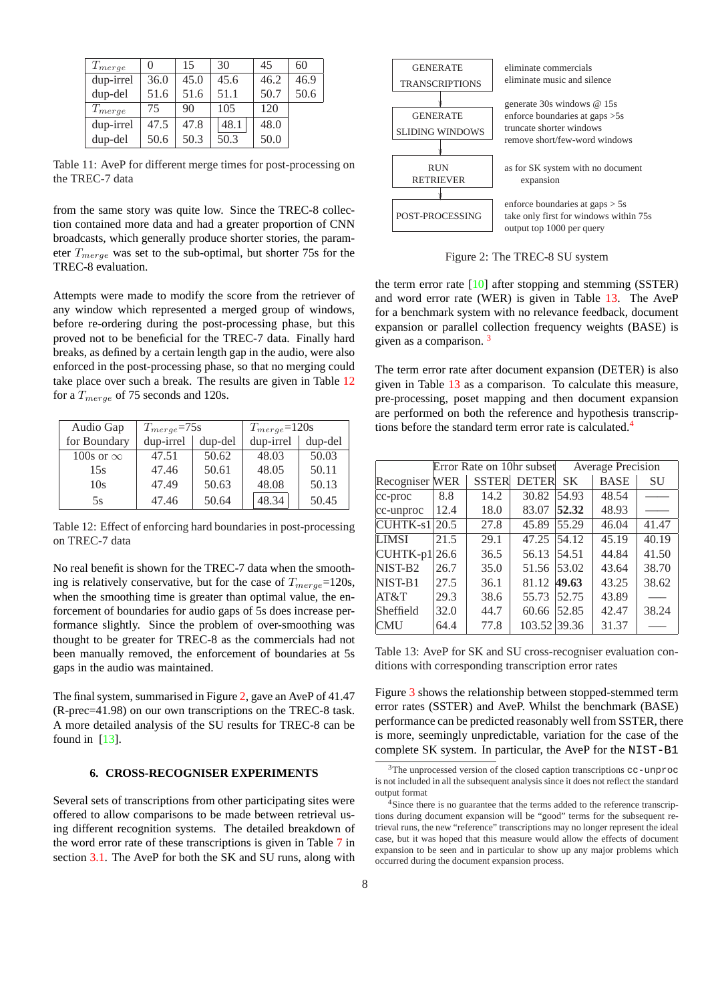<span id="page-7-0"></span>

| $T_{merge}$ |      | 15   | 30   | 45   | 60   |
|-------------|------|------|------|------|------|
| dup-irrel   | 36.0 | 45.0 | 45.6 | 46.2 | 46.9 |
| dup-del     | 51.6 | 51.6 | 51.1 | 50.7 | 50.6 |
| $T_{merge}$ | 75   | 90   | 105  | 120  |      |
| dup-irrel   | 47.5 | 47.8 | 48.1 | 48.0 |      |
| dup-del     | 50.6 | 50.3 | 50.3 | 50.0 |      |

Table 11: AveP for different merge times for post-processing on the TREC-7 data

from the same story was quite low. Since the TREC-8 collection contained more data and had a greater proportion of CNN broadcasts, which generally produce shorter stories, the parameter  $T_{merge}$  was set to the sub-optimal, but shorter 75s for the TREC-8 evaluation.

Attempts were made to modify the score from the retriever of any window which represented a merged group of windows, before re-ordering during the post-processing phase, but this proved not to be beneficial for the TREC-7 data. Finally hard breaks, as defined by a certain length gap in the audio, were also enforced in the post-processing phase, so that no merging could take place over such a break. The results are given in Table 12 for a  $T_{merge}$  of 75 seconds and 120s.

| Audio Gap        | $T_{merge} = 75s$ |         | $T_{merge} = 120s$ |         |
|------------------|-------------------|---------|--------------------|---------|
| for Boundary     | dup-irrel         | dup-del | dup-irrel          | dup-del |
| 100s or $\infty$ | 47.51             | 50.62   | 48.03              | 50.03   |
| 15s              | 47.46             | 50.61   | 48.05              | 50.11   |
| 10s              | 47.49             | 50.63   | 48.08              | 50.13   |
| 5s               | 47.46             | 50.64   | 48.34              | 50.45   |

Table 12: Effect of enforcing hard boundaries in post-processing on TREC-7 data

No real benefit is shown for the TREC-7 data when the smoothing is relatively conservative, but for the case of  $T_{merge}=120$ s, when the smoothing time is greater than optimal value, the enforcement of boundaries for audio gaps of 5s does increase performance slightly. Since the problem of over-smoothing was thought to be greater for TREC-8 as the commercials had not been manually removed, the enforcement of boundaries at 5s gaps in the audio was maintained.

The final system, summarised in Figure 2, gave an AveP of 41.47 (R-prec=41.98) on our own transcriptions on the TREC-8 task. A more detailed analysis of the SU results for TREC-8 can be found in [13].

### **6. CROSS-RECOGNISER EXPERIMENTS**

Several se[ts o](#page-9-0)f transcriptions from other participating sites were offered to allow comparisons to be made between retrieval using different recognition systems. The detailed breakdown of the word error rate of these transcriptions is given in Table 7 in section 3.1. The AveP for both the SK and SU runs, along with



Figure 2: The TREC-8 SU system

the term error rate [10] after stopping and stemming (SSTER) and word error rate (WER) is given in Table 13. The AveP for a benchmark system with no relevance feedback, document expansion or parallel collection frequency weights (BASE) is given as a comparis[on.](#page-9-0)<sup>3</sup>

The term error rate after document expansion (DETER) is also given in Table 13 as a comparison. To calculate this measure, pre-processing, poset mapping and then document expansion are performed on both the reference and hypothesis transcriptions before the standard term error rate is calculated.<sup>4</sup>

|                             | Error Rate on 10hr subset |      |                    | <b>Average Precision</b> |             |       |
|-----------------------------|---------------------------|------|--------------------|--------------------------|-------------|-------|
| Recogniser WER              |                           |      | <b>SSTER DETER</b> | <b>SK</b>                | <b>BASE</b> | SU    |
| $ cc\text{-}proc$           | 8.8                       | 14.2 | 30.82              | 54.93                    | 48.54       |       |
| cc-unproc                   | 12.4                      | 18.0 | 83.07              | 52.32                    | 48.93       |       |
| $CUHTK-s1$                  | 20.5                      | 27.8 | 45.89              | 55.29                    | 46.04       | 41.47 |
| <b>LIMSI</b>                | 21.5                      | 29.1 | 47.25              | 54.12                    | 45.19       | 40.19 |
| $\text{CUHTK-p1}\vert 26.6$ |                           | 36.5 | 56.13              | 54.51                    | 44.84       | 41.50 |
| NIST-B <sub>2</sub>         | 26.7                      | 35.0 | 51.56              | 53.02                    | 43.64       | 38.70 |
| NIST-B1                     | 27.5                      | 36.1 | 81.12              | 49.63                    | 43.25       | 38.62 |
| AT&T                        | 29.3                      | 38.6 | 55.73              | 52.75                    | 43.89       |       |
| Sheffield                   | 32.0                      | 44.7 | 60.66              | 52.85                    | 42.47       | 38.24 |
| <b>CMU</b>                  | 64.4                      | 77.8 | 103.52 39.36       |                          | 31.37       |       |

Table 13: AveP for SK and SU cross-recogniser evaluation conditions with corresponding transcription error rates

Figure 3 shows the relationship between stopped-stemmed term error rates (SSTER) and AveP. Whilst the benchmark (BASE) performance can be predicted reasonably well from SSTER, there is more, seemingly unpredictable, variation for the case of the compl[ete](#page-8-0) SK system. In particular, the AveP for the NIST-B1

 $3$ The unprocessed version of the closed caption transcriptions cc-unproc is not included in all the subsequent analysis since it does not reflect the standard output format

<sup>&</sup>lt;sup>4</sup>Since there is no guarantee that the terms added to the reference transcriptions during document expansion will be "good" terms for the subsequent retrieval runs, the new "reference" transcriptions may no longer represent the ideal case, but it was hoped that this measure would allow the effects of document expansion to be seen and in particular to show up any major problems which occurred during the document expansion process.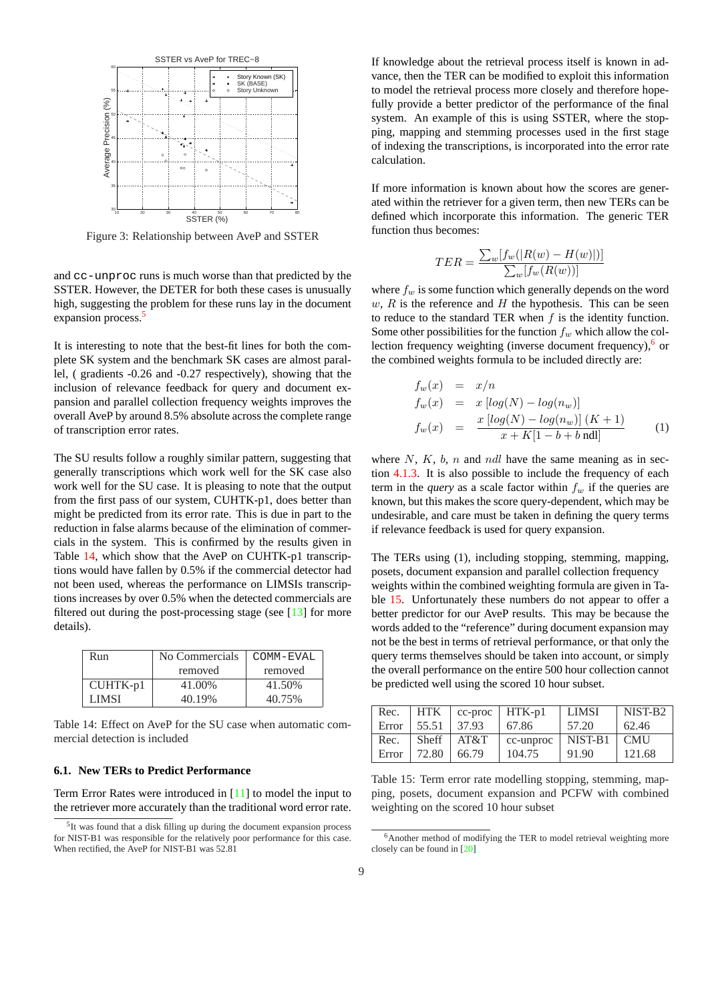<span id="page-8-0"></span>

Figure 3: Relationship between AveP and SSTER

and cc-unproc runs is much worse than that predicted by the SSTER. However, the DETER for both these cases is unusually high, suggesting the problem for these runs lay in the document expansion process.<sup>5</sup>

It is interesting to note that the best-fit lines for both the complete SK system and the benchmark SK cases are almost parallel, ( gradients -0.26 and -0.27 respectively), showing that the inclusion of relevance feedback for query and document expansion and parallel collection frequency weights improves the overall AveP by around 8.5% absolute across the complete range of transcription error rates.

The SU results follow a roughly similar pattern, suggesting that generally transcriptions which work well for the SK case also work well for the SU case. It is pleasing to note that the output from the first pass of our system, CUHTK-p1, does better than might be predicted from its error rate. This is due in part to the reduction in false alarms because of the elimination of commercials in the system. This is confirmed by the results given in Table 14, which show that the AveP on CUHTK-p1 transcriptions would have fallen by 0.5% if the commercial detector had not been used, whereas the performance on LIMSIs transcriptions increases by over 0.5% when the detected commercials are filtered out during the post-processing stage (see  $[13]$  for more details).

| removed<br>removed           |  |
|------------------------------|--|
|                              |  |
| CUHTK-p1<br>41.00%<br>41.50% |  |
| 40.19%<br>40.75%<br>LIMSI    |  |

Table 14: Effect on AveP for the SU case when automatic commercial detection is included

#### **6.1. New TERs to Predict Performance**

Term Error Rates were introduced in [11] to model the input to the retriever more accurately than the traditional word error rate.

If knowledge about the retrieval process itself is known in advance, then the TER can be modified to exploit this information to model the retrieval process more closely and therefore hopefully provide a better predictor of the performance of the final system. An example of this is using SSTER, where the stopping, mapping and stemming processes used in the first stage of indexing the transcriptions, is incorporated into the error rate calculation.

If more information is known about how the scores are generated within the retriever for a given term, then new TERs can be defined which incorporate this information. The generic TER function thus becomes:

$$
TER = \frac{\sum_{w} [f_w(|R(w) - H(w)|)]}{\sum_{w} [f_w(R(w))]}
$$

where  $f_w$  is some function which generally depends on the word  $w, R$  is the reference and H the hypothesis. This can be seen to reduce to the standard TER when  $f$  is the identity function. Some other possibilities for the function  $f_w$  which allow the collection frequency weighting (inverse document frequency), $6$  or the combined weights formula to be included directly are:

$$
f_w(x) = x/n
$$
  
\n
$$
f_w(x) = x [log(N) - log(n_w)]
$$
  
\n
$$
f_w(x) = \frac{x [log(N) - log(n_w)] (K + 1)}{x + K[1 - b + b \text{ nd}]} \tag{1}
$$

where  $N$ ,  $K$ ,  $b$ ,  $n$  and ndl have the same meaning as in section 4.1.3. It is also possible to include the frequency of each term in the *query* as a scale factor within  $f_w$  if the queries are known, but this makes the score query-dependent, which may be undesirable, and care must be taken in defining the query terms if rel[evance](#page-4-0) feedback is used for query expansion.

The TERs using (1), including stopping, stemming, mapping, posets, document expansion and parallel collection frequency weights within the combined weighting formula are given in Table 15. Unfortunately these numbers do not appear to offer a better predictor for our AveP results. This may be because the words added to the "reference" during document expansion may not be the best in terms of retrieval performance, or that only the query terms themselves should be taken into account, or simply the overall performance on the entire 500 hour collection cannot be predicted well using the scored 10 hour subset.

| Rec.  | <b>HTK</b> |       | $cc$ -proc   HTK-p1 | <b>LIMSI</b> | NIST-B <sub>2</sub> |
|-------|------------|-------|---------------------|--------------|---------------------|
| Error | 55.51      | 37.93 | 67.86               | 57.20        | 62.46               |
| Rec.  | Sheff      | AT&T  | cc-unproc           | NIST-B1      | <b>CMU</b>          |
| Error | 72.80      | 66.79 | 104.75              | 91.90        | 121.68              |

Table 15: Term error rate modelling stopping, stemming, mapping, posets, document expansion and PCFW with combined weighting on the scored 10 hour subset

<sup>&</sup>lt;sup>5</sup>It was found that a disk filling up during the document expansion process for NIST-B1 was responsible for the relatively poor performance for this case. When rectified, the AveP for NIST-B1 was 52.81

<sup>&</sup>lt;sup>6</sup>Another method of modifying the TER to model retrieval weighting more closely can be found in [20]